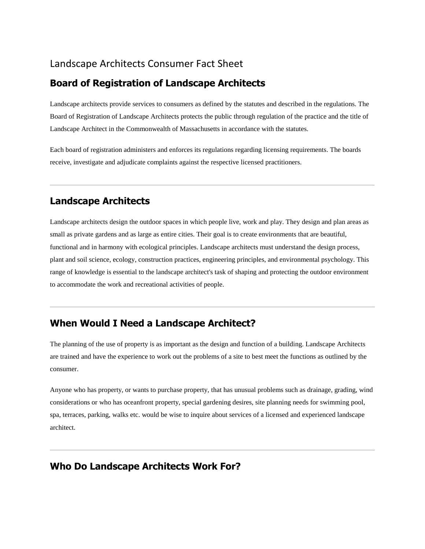### Landscape Architects Consumer Fact Sheet

#### **Board of Registration of Landscape Architects**

Landscape architects provide services to consumers as defined by the statutes and described in the regulations. The Board of Registration of Landscape Architects protects the public through regulation of the practice and the title of Landscape Architect in the Commonwealth of Massachusetts in accordance with the statutes.

Each board of registration administers and enforces its regulations regarding licensing requirements. The boards receive, investigate and adjudicate complaints against the respective licensed practitioners.

#### **Landscape Architects**

Landscape architects design the outdoor spaces in which people live, work and play. They design and plan areas as small as private gardens and as large as entire cities. Their goal is to create environments that are beautiful, functional and in harmony with ecological principles. Landscape architects must understand the design process, plant and soil science, ecology, construction practices, engineering principles, and environmental psychology. This range of knowledge is essential to the landscape architect's task of shaping and protecting the outdoor environment to accommodate the work and recreational activities of people.

#### **When Would I Need a Landscape Architect?**

The planning of the use of property is as important as the design and function of a building. Landscape Architects are trained and have the experience to work out the problems of a site to best meet the functions as outlined by the consumer.

Anyone who has property, or wants to purchase property, that has unusual problems such as drainage, grading, wind considerations or who has oceanfront property, special gardening desires, site planning needs for swimming pool, spa, terraces, parking, walks etc. would be wise to inquire about services of a licensed and experienced landscape architect.

## **Who Do Landscape Architects Work For?**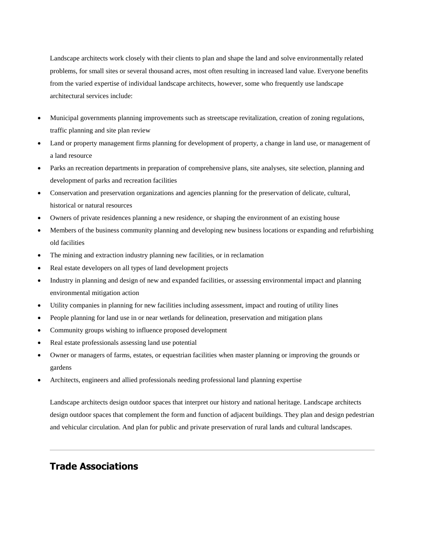Landscape architects work closely with their clients to plan and shape the land and solve environmentally related problems, for small sites or several thousand acres, most often resulting in increased land value. Everyone benefits from the varied expertise of individual landscape architects, however, some who frequently use landscape architectural services include:

- Municipal governments planning improvements such as streetscape revitalization, creation of zoning regulations, traffic planning and site plan review
- Land or property management firms planning for development of property, a change in land use, or management of a land resource
- Parks an recreation departments in preparation of comprehensive plans, site analyses, site selection, planning and development of parks and recreation facilities
- Conservation and preservation organizations and agencies planning for the preservation of delicate, cultural, historical or natural resources
- Owners of private residences planning a new residence, or shaping the environment of an existing house
- Members of the business community planning and developing new business locations or expanding and refurbishing old facilities
- The mining and extraction industry planning new facilities, or in reclamation
- Real estate developers on all types of land development projects
- Industry in planning and design of new and expanded facilities, or assessing environmental impact and planning environmental mitigation action
- Utility companies in planning for new facilities including assessment, impact and routing of utility lines
- People planning for land use in or near wetlands for delineation, preservation and mitigation plans
- Community groups wishing to influence proposed development
- Real estate professionals assessing land use potential
- Owner or managers of farms, estates, or equestrian facilities when master planning or improving the grounds or gardens
- Architects, engineers and allied professionals needing professional land planning expertise

Landscape architects design outdoor spaces that interpret our history and national heritage. Landscape architects design outdoor spaces that complement the form and function of adjacent buildings. They plan and design pedestrian and vehicular circulation. And plan for public and private preservation of rural lands and cultural landscapes.

## **Trade Associations**